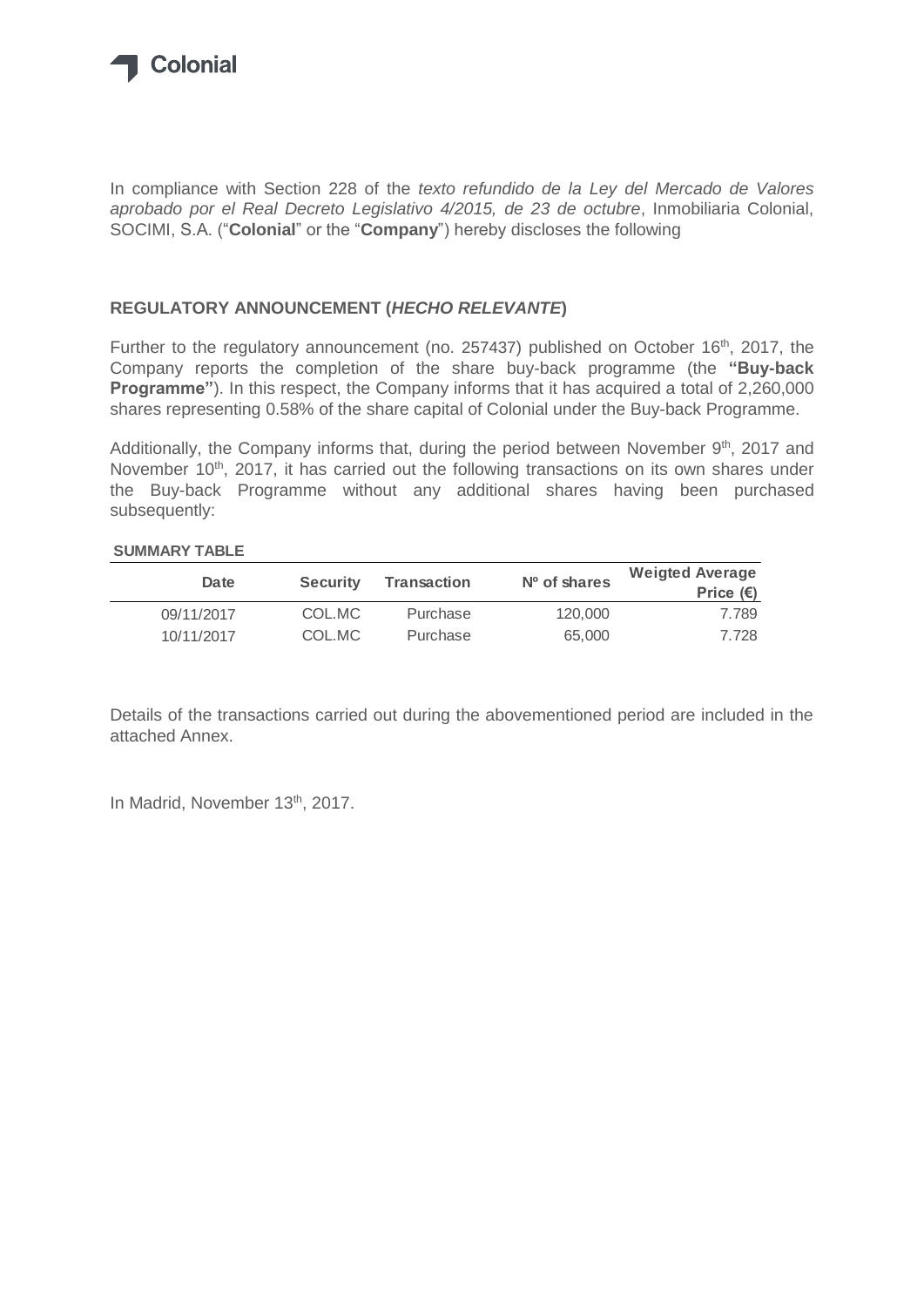

In compliance with Section 228 of the *texto refundido de la Ley del Mercado de Valores aprobado por el Real Decreto Legislativo 4/2015, de 23 de octubre*, Inmobiliaria Colonial, SOCIMI, S.A. ("**Colonial**" or the "**Company**") hereby discloses the following

## **REGULATORY ANNOUNCEMENT (***HECHO RELEVANTE***)**

Further to the regulatory announcement (no. 257437) published on October 16<sup>th</sup>, 2017, the Company reports the completion of the share buy-back programme (the **"Buy-back Programme"**). In this respect, the Company informs that it has acquired a total of 2,260,000 shares representing 0.58% of the share capital of Colonial under the Buy-back Programme.

Additionally, the Company informs that, during the period between November 9<sup>th</sup>, 2017 and November 10<sup>th</sup>, 2017, it has carried out the following transactions on its own shares under the Buy-back Programme without any additional shares having been purchased subsequently:

## **SUMMARY TABLE**

| Date       | <b>Security</b> | Transaction | $No$ of shares | <b>Weigted Average</b><br>Price $(\epsilon)$ |
|------------|-----------------|-------------|----------------|----------------------------------------------|
| 09/11/2017 | COL.MC          | Purchase    | 120,000        | 7.789                                        |
| 10/11/2017 | COL.MC          | Purchase    | 65,000         | 7.728                                        |

Details of the transactions carried out during the abovementioned period are included in the attached Annex.

In Madrid, November 13<sup>th</sup>, 2017.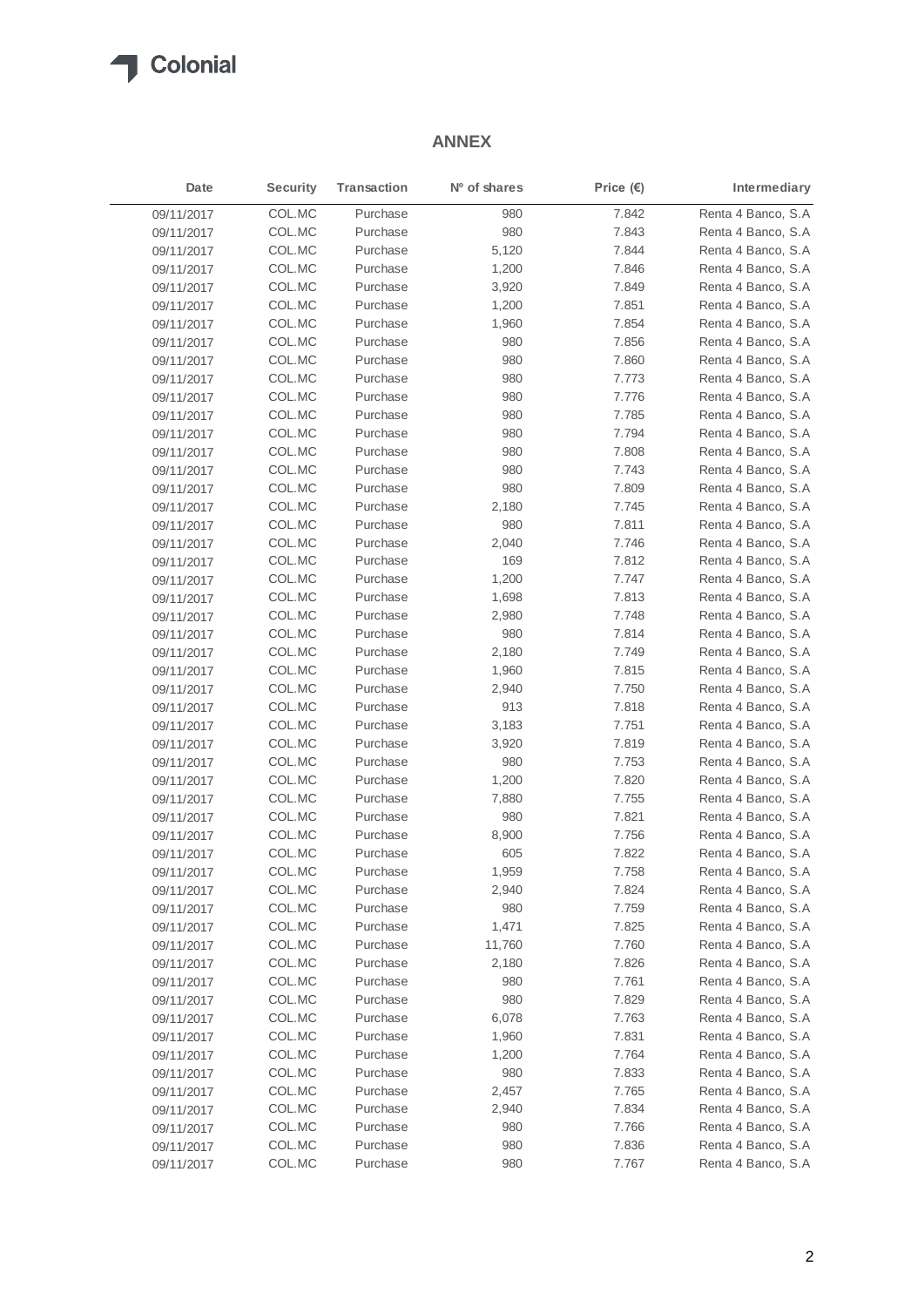

## **ANNEX**

| Date       | <b>Security</b> | <b>Transaction</b> | Nº of shares | Price $(E)$ | Intermediary       |
|------------|-----------------|--------------------|--------------|-------------|--------------------|
| 09/11/2017 | COL.MC          | Purchase           | 980          | 7.842       | Renta 4 Banco, S.A |
| 09/11/2017 | COL.MC          | Purchase           | 980          | 7.843       | Renta 4 Banco, S.A |
| 09/11/2017 | COL.MC          | Purchase           | 5,120        | 7.844       | Renta 4 Banco, S.A |
| 09/11/2017 | COL.MC          | Purchase           | 1,200        | 7.846       | Renta 4 Banco, S.A |
| 09/11/2017 | COL.MC          | Purchase           | 3,920        | 7.849       | Renta 4 Banco, S.A |
| 09/11/2017 | COL.MC          | Purchase           | 1,200        | 7.851       | Renta 4 Banco, S.A |
| 09/11/2017 | COL.MC          | Purchase           | 1,960        | 7.854       | Renta 4 Banco, S.A |
| 09/11/2017 | COL.MC          | Purchase           | 980          | 7.856       | Renta 4 Banco, S.A |
| 09/11/2017 | COL.MC          | Purchase           | 980          | 7.860       | Renta 4 Banco, S.A |
| 09/11/2017 | COL.MC          | Purchase           | 980          | 7.773       | Renta 4 Banco, S.A |
| 09/11/2017 | COL.MC          | Purchase           | 980          | 7.776       | Renta 4 Banco, S.A |
| 09/11/2017 | COL.MC          | Purchase           | 980          | 7.785       | Renta 4 Banco, S.A |
| 09/11/2017 | COL.MC          | Purchase           | 980          | 7.794       | Renta 4 Banco, S.A |
| 09/11/2017 | COL.MC          | Purchase           | 980          | 7.808       | Renta 4 Banco, S.A |
| 09/11/2017 | COL.MC          | Purchase           | 980          | 7.743       | Renta 4 Banco, S.A |
| 09/11/2017 | COL.MC          | Purchase           | 980          | 7.809       | Renta 4 Banco, S.A |
| 09/11/2017 | COL.MC          | Purchase           | 2,180        | 7.745       | Renta 4 Banco, S.A |
| 09/11/2017 | COL.MC          | Purchase           | 980          | 7.811       | Renta 4 Banco, S.A |
| 09/11/2017 | COL.MC          | Purchase           | 2,040        | 7.746       | Renta 4 Banco, S.A |
| 09/11/2017 | COL.MC          | Purchase           | 169          | 7.812       | Renta 4 Banco, S.A |
| 09/11/2017 | COL.MC          | Purchase           | 1,200        | 7.747       | Renta 4 Banco, S.A |
| 09/11/2017 | COL.MC          | Purchase           | 1,698        | 7.813       | Renta 4 Banco, S.A |
| 09/11/2017 | COL.MC          | Purchase           | 2,980        | 7.748       | Renta 4 Banco, S.A |
| 09/11/2017 | COL.MC          | Purchase           | 980          | 7.814       | Renta 4 Banco, S.A |
| 09/11/2017 | COL.MC          | Purchase           | 2,180        | 7.749       | Renta 4 Banco, S.A |
| 09/11/2017 | COL.MC          | Purchase           | 1,960        | 7.815       | Renta 4 Banco, S.A |
| 09/11/2017 | COL.MC          | Purchase           | 2,940        | 7.750       | Renta 4 Banco, S.A |
| 09/11/2017 | COL.MC          | Purchase           | 913          | 7.818       | Renta 4 Banco, S.A |
| 09/11/2017 | COL.MC          | Purchase           | 3,183        | 7.751       | Renta 4 Banco, S.A |
| 09/11/2017 | COL.MC          | Purchase           | 3,920        | 7.819       | Renta 4 Banco, S.A |
| 09/11/2017 | COL.MC          | Purchase           | 980          | 7.753       | Renta 4 Banco, S.A |
| 09/11/2017 | COL.MC          | Purchase           | 1,200        | 7.820       | Renta 4 Banco, S.A |
| 09/11/2017 | COL.MC          | Purchase           | 7,880        | 7.755       | Renta 4 Banco, S.A |
| 09/11/2017 | COL.MC          | Purchase           | 980          | 7.821       | Renta 4 Banco, S.A |
| 09/11/2017 | COL.MC          | Purchase           | 8,900        | 7.756       | Renta 4 Banco, S.A |
| 09/11/2017 | COL.MC          | Purchase           | 605          | 7.822       | Renta 4 Banco, S.A |
| 09/11/2017 | COL.MC          | Purchase           | 1,959        | 7.758       | Renta 4 Banco, S.A |
| 09/11/2017 | COL.MC          | Purchase           | 2,940        | 7.824       | Renta 4 Banco, S.A |
| 09/11/2017 | COL.MC          | Purchase           | 980          | 7.759       | Renta 4 Banco, S.A |
| 09/11/2017 | COL.MC          | Purchase           | 1,471        | 7.825       | Renta 4 Banco, S.A |
| 09/11/2017 | COL.MC          | Purchase           | 11,760       | 7.760       | Renta 4 Banco, S.A |
| 09/11/2017 | COL.MC          | Purchase           | 2,180        | 7.826       | Renta 4 Banco, S.A |
| 09/11/2017 | COL.MC          | Purchase           | 980          | 7.761       | Renta 4 Banco, S.A |
| 09/11/2017 | COL.MC          | Purchase           | 980          | 7.829       | Renta 4 Banco, S.A |
| 09/11/2017 | COL.MC          | Purchase           | 6,078        | 7.763       | Renta 4 Banco, S.A |
| 09/11/2017 | COL.MC          | Purchase           | 1,960        | 7.831       | Renta 4 Banco, S.A |
| 09/11/2017 | COL.MC          | Purchase           | 1,200        | 7.764       | Renta 4 Banco, S.A |
| 09/11/2017 | COL.MC          | Purchase           | 980          | 7.833       | Renta 4 Banco, S.A |
| 09/11/2017 | COL.MC          | Purchase           | 2,457        | 7.765       | Renta 4 Banco, S.A |
| 09/11/2017 | COL.MC          | Purchase           | 2,940        | 7.834       | Renta 4 Banco, S.A |
| 09/11/2017 | COL.MC          | Purchase           | 980          | 7.766       | Renta 4 Banco, S.A |
| 09/11/2017 | COL.MC          | Purchase           | 980          | 7.836       | Renta 4 Banco, S.A |
| 09/11/2017 | COL.MC          | Purchase           | 980          | 7.767       | Renta 4 Banco, S.A |